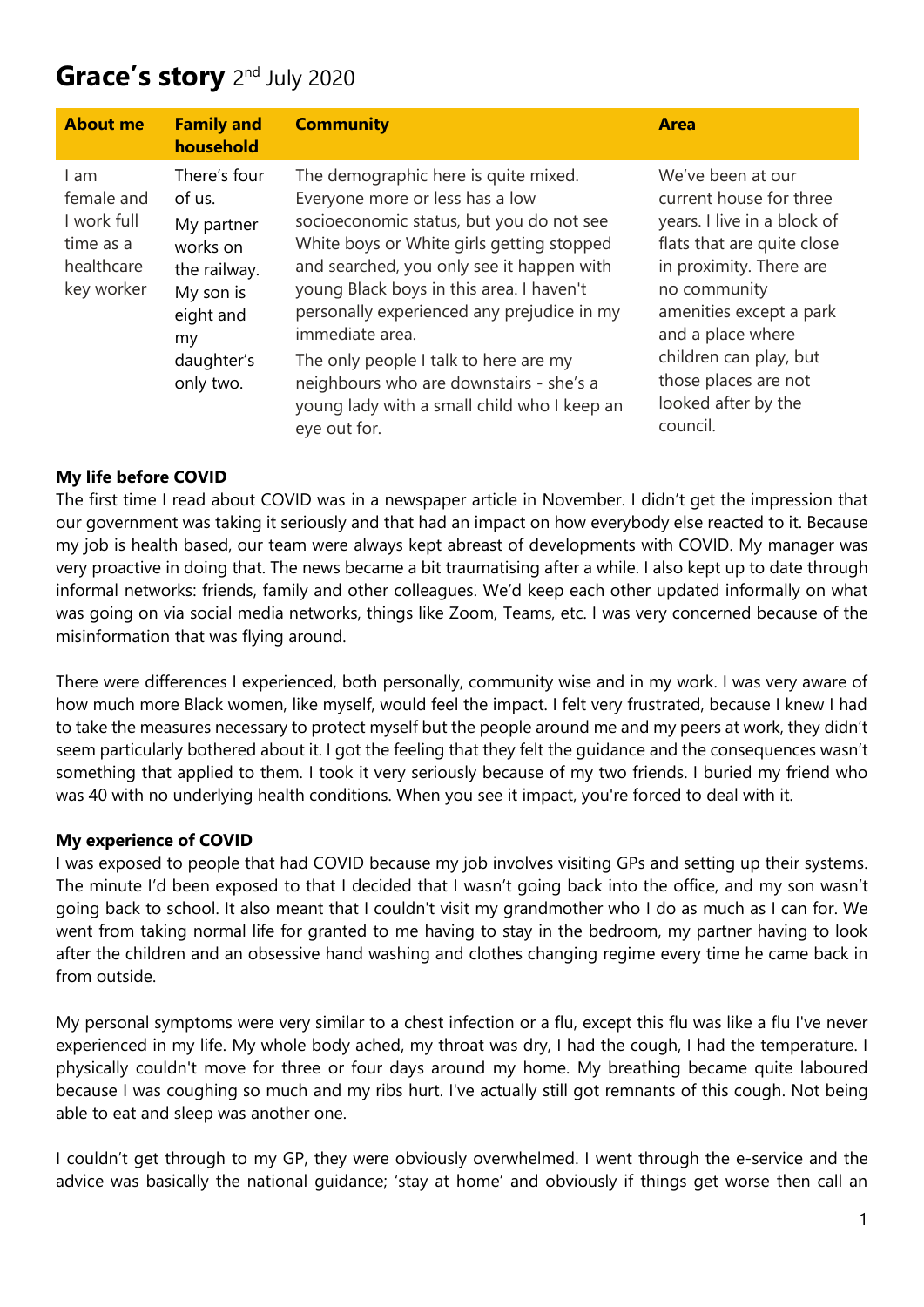# Grace's story 2<sup>nd</sup> July 2020

| <b>About me</b>                                                            | <b>Family and</b><br>household                                                                                               | <b>Community</b>                                                                                                                                                                                                                                                                                                                                                                                                                                                              | <b>Area</b>                                                                                                                                                                                                                                                                               |
|----------------------------------------------------------------------------|------------------------------------------------------------------------------------------------------------------------------|-------------------------------------------------------------------------------------------------------------------------------------------------------------------------------------------------------------------------------------------------------------------------------------------------------------------------------------------------------------------------------------------------------------------------------------------------------------------------------|-------------------------------------------------------------------------------------------------------------------------------------------------------------------------------------------------------------------------------------------------------------------------------------------|
| I am<br>female and<br>I work full<br>time as a<br>healthcare<br>key worker | There's four<br>of us.<br>My partner<br>works on<br>the railway.<br>My son is<br>eight and<br>my.<br>daughter's<br>only two. | The demographic here is quite mixed.<br>Everyone more or less has a low<br>socioeconomic status, but you do not see<br>White boys or White girls getting stopped<br>and searched, you only see it happen with<br>young Black boys in this area. I haven't<br>personally experienced any prejudice in my<br>immediate area.<br>The only people I talk to here are my<br>neighbours who are downstairs - she's a<br>young lady with a small child who I keep an<br>eye out for. | We've been at our<br>current house for three<br>years. I live in a block of<br>flats that are quite close<br>in proximity. There are<br>no community<br>amenities except a park<br>and a place where<br>children can play, but<br>those places are not<br>looked after by the<br>council. |

## **My life before COVID**

The first time I read about COVID was in a newspaper article in November. I didn't get the impression that our government was taking it seriously and that had an impact on how everybody else reacted to it. Because my job is health based, our team were always kept abreast of developments with COVID. My manager was very proactive in doing that. The news became a bit traumatising after a while. I also kept up to date through informal networks: friends, family and other colleagues. We'd keep each other updated informally on what was going on via social media networks, things like Zoom, Teams, etc. I was very concerned because of the misinformation that was flying around.

There were differences I experienced, both personally, community wise and in my work. I was very aware of how much more Black women, like myself, would feel the impact. I felt very frustrated, because I knew I had to take the measures necessary to protect myself but the people around me and my peers at work, they didn't seem particularly bothered about it. I got the feeling that they felt the guidance and the consequences wasn't something that applied to them. I took it very seriously because of my two friends. I buried my friend who was 40 with no underlying health conditions. When you see it impact, you're forced to deal with it.

### **My experience of COVID**

I was exposed to people that had COVID because my job involves visiting GPs and setting up their systems. The minute I'd been exposed to that I decided that I wasn't going back into the office, and my son wasn't going back to school. It also meant that I couldn't visit my grandmother who I do as much as I can for. We went from taking normal life for granted to me having to stay in the bedroom, my partner having to look after the children and an obsessive hand washing and clothes changing regime every time he came back in from outside.

My personal symptoms were very similar to a chest infection or a flu, except this flu was like a flu I've never experienced in my life. My whole body ached, my throat was dry, I had the cough, I had the temperature. I physically couldn't move for three or four days around my home. My breathing became quite laboured because I was coughing so much and my ribs hurt. I've actually still got remnants of this cough. Not being able to eat and sleep was another one.

I couldn't get through to my GP, they were obviously overwhelmed. I went through the e-service and the advice was basically the national guidance; 'stay at home' and obviously if things get worse then call an